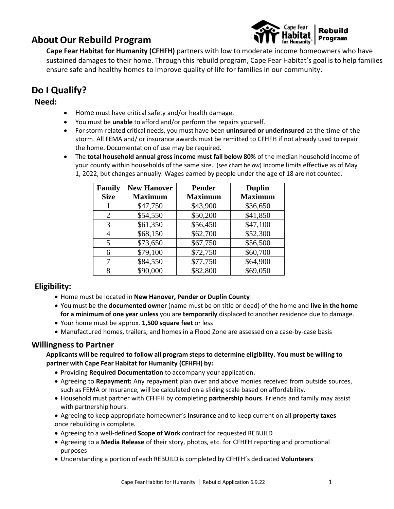# **About Our Rebuild Program**



**Cape Fear Habitat for Humanity (CFHFH)** partners with low to moderate income homeowners who have sustained damages to their home. Through this rebuild program, Cape Fear Habitat's goal is to help families ensure safe and healthy homes to improve quality of life for families in our community.

# **Do I Qualify?**

### **Need:**

- Home must have critical safety and/or health damage.
- You must be **unable** to afford and/or perform the repairs yourself.
- For storm-related critical needs, you must have been **uninsured or underinsured** at the time of the storm. All FEMA and/ or insurance awards must be remitted to CFHFH if not already used to repair the home. Documentation of use may be required.
- The **total household annual gross income must fall below 80%** of the median household income of your county within households of the same size. (see chart below) Income limits effective as of May 1, 2022, but changes annually. Wages earned by people under the age of 18 are not counted.

| Family<br><b>Size</b> | <b>New Hanover</b><br><b>Maximum</b> | <b>Pender</b><br><b>Maximum</b> | <b>Duplin</b><br><b>Maximum</b> |
|-----------------------|--------------------------------------|---------------------------------|---------------------------------|
|                       | \$47,750                             | \$43,900                        | \$36,650                        |
| 2                     | \$54,550                             | \$50,200                        | \$41,850                        |
| 3                     | \$61,350                             | \$56,450                        | \$47,100                        |
| 4                     | \$68,150                             | \$62,700                        | \$52,300                        |
| 5                     | \$73,650                             | \$67,750                        | \$56,500                        |
| 6                     | \$79,100                             | \$72,750                        | \$60,700                        |
| 7                     | \$84,550                             | \$77,750                        | \$64,900                        |
| 8                     | \$90,000                             | \$82,800                        | \$69,050                        |

### **Eligibility:**

- Home must be located in **New Hanover, Pender or Duplin County**
- You must be the **documented owner** (name must be on title or deed) of the home and **live in the home for a minimum of one year unless** you are **temporarily** displaced to another residence due to damage.
- Your home must be approx. **1,500 square feet** or less
- Manufactured homes, trailers, and homes in a Flood Zone are assessed on a case-by-case basis

### **Willingnessto Partner**

**Applicants will be required to follow all program stepsto determine eligibility. You must be willing to partner with Cape Fear Habitat for Humanity (CFHFH) by:**

- Providing **Required Documentation** to accompany your application**.**
- Agreeing to **Repayment:** Any repayment plan over and above monies received from outside sources, such as FEMA or Insurance, will be calculated on a sliding scale based on affordability.
- Household must partner with CFHFH by completing **partnership hours**. Friends and family may assist with partnership hours.
- Agreeing to keep appropriate homeowner's **Insurance** and to keep current on all **property taxes** once rebuilding is complete.
- Agreeing to a well-defined **Scope of Work** contract for requested REBUILD
- Agreeing to a **Media Release** of their story, photos, etc. for CFHFH reporting and promotional purposes
- Understanding a portion of each REBUILD is completed by CFHFH's dedicated **Volunteers**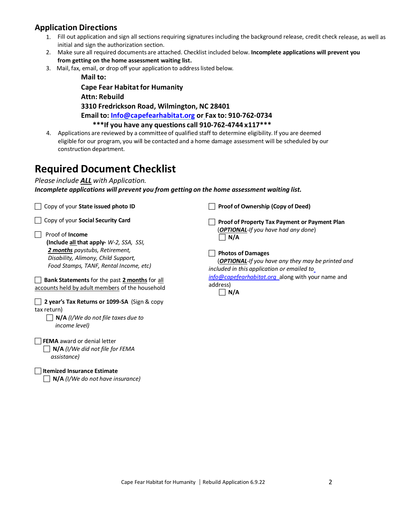# **Application Directions**

- 1. Fill out application and sign all sections requiring signatures including the background release, credit check release, as well as initial and sign the authorization section.
- 2. Make sure all required documents are attached. Checklist included below. **Incomplete applications will prevent you from getting on the home assessment waiting list.**
- 3. Mail, fax, email, or drop off your application to addresslisted below.

**Mail to: Cape Fear Habitat for Humanity Attn: Rebuild 3310 Fredrickson Road, Wilmington, NC 28401 Email to: [Info@capefearhabitat.org](mailto:Info@capefearhabitat.org) or Fax to: 910-762-0734 \*\*\*If you have any questions call 910-762-4744 x117\*\*\***

4. Applications are reviewed by a committee of qualified staff to determine eligibility. If you are deemed eligible for our program, you will be contacted and a home damage assessment will be scheduled by our construction department.

# **Required Document Checklist**

### *Please include ALL with Application.*

*Incomplete applications will prevent you from getting on the home assessment waiting list.*

Copy of your **State issued photo ID**

Copy of your **Social Security Card**

 Proof of **Income (Include all that apply-** *W-2, SSA, SSI, 2 months paystubs, Retirement, Disability, Alimony, Child Support, Food Stamps, TANF, Rental Income, etc)*

 **Bank Statements** for the past **2 months** for all accounts held by adult members of the household

| 2 year's Tax Returns or 1099-SA (Sign & copy |  |
|----------------------------------------------|--|
| tax return)                                  |  |

 **N/A** *(I/We do not file taxes due to income level)*

**FEMA** award or denial letter

 **N/A** *(I/We did not file for FEMA assistance)*

#### **Itemized Insurance Estimate**

**N/A** *(I/We do not have insurance)*

**Proof of Ownership (Copy of Deed)**

 **Proof of Property Tax Payment or Payment Plan** (*OPTIONAL-If you have had any done*)  $\Box$  N/A

#### **Photos of Damages**

(*OPTIONAL-If you have any they may be printed and included in this application or emailed t[o](mailto:%20info@capefearhabitat.org)*

*[info@capefearhabitat.org](mailto:%20info@capefearhabitat.org)* along with your name and address)

 $\Box$  N/A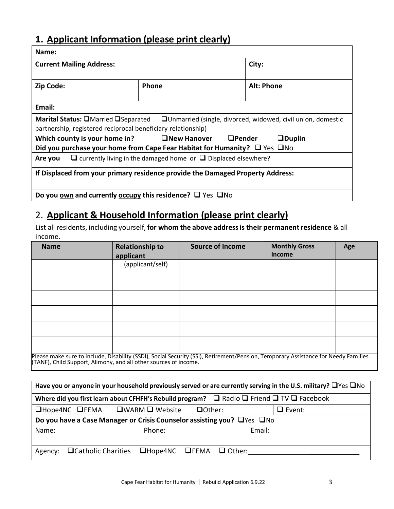# **1. Applicant Information (please print clearly)**

| Name:                                                                                                                                                                             |  |            |  |  |
|-----------------------------------------------------------------------------------------------------------------------------------------------------------------------------------|--|------------|--|--|
| <b>Current Mailing Address:</b>                                                                                                                                                   |  | City:      |  |  |
| <b>Phone</b><br>Zip Code:                                                                                                                                                         |  | Alt: Phone |  |  |
| Email:                                                                                                                                                                            |  |            |  |  |
| <b>Marital Status: □</b> Married □Separated<br>$\Box$ Unmarried (single, divorced, widowed, civil union, domestic<br>partnership, registered reciprocal beneficiary relationship) |  |            |  |  |
| <b>ONew Hanover</b><br>$\Box$ Pender<br>$\Box$ Duplin<br>Which county is your home in?                                                                                            |  |            |  |  |
| Did you purchase your home from Cape Fear Habitat for Humanity? $\Box$ Yes $\Box$ No                                                                                              |  |            |  |  |
| $\Box$ currently living in the damaged home or $\Box$ Displaced elsewhere?<br>Are you                                                                                             |  |            |  |  |
| If Displaced from your primary residence provide the Damaged Property Address:                                                                                                    |  |            |  |  |
| Do you own and currently occupy this residence? $\Box$ Yes $\Box$ No                                                                                                              |  |            |  |  |

# 2. **Applicant & Household Information (please print clearly)**

List all residents, including yourself, **for whom the above addressis their permanentresidence** & all income.

| <b>Name</b>                                                                                                                                                                                            | <b>Relationship to</b><br>applicant | <b>Source of Income</b> | <b>Monthly Gross</b><br><b>Income</b> | Age |
|--------------------------------------------------------------------------------------------------------------------------------------------------------------------------------------------------------|-------------------------------------|-------------------------|---------------------------------------|-----|
|                                                                                                                                                                                                        | (applicant/self)                    |                         |                                       |     |
|                                                                                                                                                                                                        |                                     |                         |                                       |     |
|                                                                                                                                                                                                        |                                     |                         |                                       |     |
|                                                                                                                                                                                                        |                                     |                         |                                       |     |
|                                                                                                                                                                                                        |                                     |                         |                                       |     |
|                                                                                                                                                                                                        |                                     |                         |                                       |     |
| Please make sure to include, Disability (SSDI), Social Security (SSI), Retirement/Pension, Temporary Assistance for Needy Families<br>(TANF), Child Support, Alimony, and all other sources of income. |                                     |                         |                                       |     |

| Have you or anyone in your household previously served or are currently serving in the U.S. military? $\Box$ Yes $\Box$ No |                                                                    |  |        |  |
|----------------------------------------------------------------------------------------------------------------------------|--------------------------------------------------------------------|--|--------|--|
| Where did you first learn about CFHFH's Rebuild program? $\Box$ Radio $\Box$ Friend $\Box$ TV $\Box$ Facebook              |                                                                    |  |        |  |
| $D$ Hope4NC $D$ FEMA                                                                                                       | $\square$ WARM $\square$ Website<br>$\Box$ Other:<br>$\Box$ Event: |  |        |  |
| Do you have a Case Manager or Crisis Counselor assisting you? □ Yes □ No                                                   |                                                                    |  |        |  |
| Name:                                                                                                                      | Phone:                                                             |  | Email: |  |
|                                                                                                                            |                                                                    |  |        |  |
| Agency:                                                                                                                    | $\Box$ Catholic Charities $\Box$ Hope4NC $\Box$ FEMA $\Box$ Other: |  |        |  |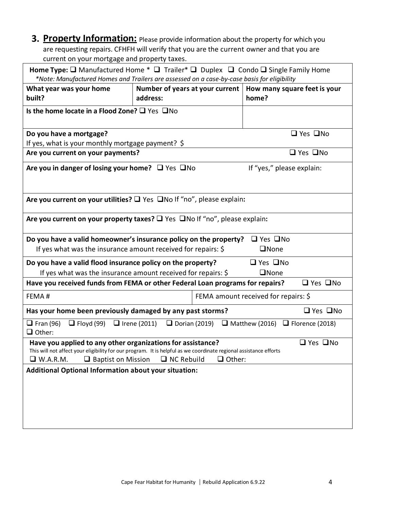**3. Property Information:** Please provide information about the property for which you are requesting repairs. CFHFH will verify that you are the current owner and that you are current on your mortgage and property taxes.

| <b>Home Type:</b> $\Box$ Manufactured Home $*$ $\Box$ Trailer $*$ $\Box$ Duplex $\Box$ Condo $\Box$ Single Family Home<br>*Note: Manufactured Homes and Trailers are assessed on a case-by-case basis for eligibility                                                                          |  |                                                                               |                             |                      |
|------------------------------------------------------------------------------------------------------------------------------------------------------------------------------------------------------------------------------------------------------------------------------------------------|--|-------------------------------------------------------------------------------|-----------------------------|----------------------|
| What year was your home<br>built?                                                                                                                                                                                                                                                              |  | Number of years at your current $\vert$ How many square feet is your<br>home? |                             |                      |
| Is the home locate in a Flood Zone? $\square$ Yes $\square$ No                                                                                                                                                                                                                                 |  |                                                                               |                             |                      |
| Do you have a mortgage?                                                                                                                                                                                                                                                                        |  |                                                                               |                             | $\Box$ Yes $\Box$ No |
| If yes, what is your monthly mortgage payment? \$<br>Are you current on your payments?                                                                                                                                                                                                         |  |                                                                               |                             | □ Yes □No            |
|                                                                                                                                                                                                                                                                                                |  |                                                                               |                             |                      |
| Are you in danger of losing your home? $\Box$ Yes $\Box$ No                                                                                                                                                                                                                                    |  |                                                                               | If "yes," please explain:   |                      |
| Are you current on your utilities? $\square$ Yes $\square$ No If "no", please explain:                                                                                                                                                                                                         |  |                                                                               |                             |                      |
| Are you current on your property taxes? $\square$ Yes $\square$ No If "no", please explain:                                                                                                                                                                                                    |  |                                                                               |                             |                      |
| Do you have a valid homeowner's insurance policy on the property?<br>If yes what was the insurance amount received for repairs: $\oint$                                                                                                                                                        |  |                                                                               | □ Yes □No<br>$\square$ None |                      |
| □ Yes □No<br>Do you have a valid flood insurance policy on the property?                                                                                                                                                                                                                       |  |                                                                               |                             |                      |
| If yes what was the insurance amount received for repairs: \$<br>$\square$ None<br>Have you received funds from FEMA or other Federal Loan programs for repairs?                                                                                                                               |  |                                                                               |                             | $\Box$ Yes $\Box$ No |
| FEMA amount received for repairs: \$<br>FEMA#                                                                                                                                                                                                                                                  |  |                                                                               |                             |                      |
| Has your home been previously damaged by any past storms?<br>$\Box$ Yes $\Box$ No                                                                                                                                                                                                              |  |                                                                               |                             |                      |
| $\Box$ Fran (96)<br>$\Box$ Floyd (99) $\Box$ Irene (2011)<br>$\Box$ Dorian (2019)<br>$\Box$ Matthew (2016) $\Box$ Florence (2018)<br>$\Box$ Other:                                                                                                                                             |  |                                                                               |                             |                      |
| Have you applied to any other organizations for assistance?<br>$\Box$ Yes $\Box$ No<br>This will not affect your eligibility for our program. It is helpful as we coordinate regional assistance efforts<br>$\Box$ Baptist on Mission<br>$\Box$ NC Rebuild<br>$\Box$ Other:<br>$\Box$ W.A.R.M. |  |                                                                               |                             |                      |
| <b>Additional Optional Information about your situation:</b>                                                                                                                                                                                                                                   |  |                                                                               |                             |                      |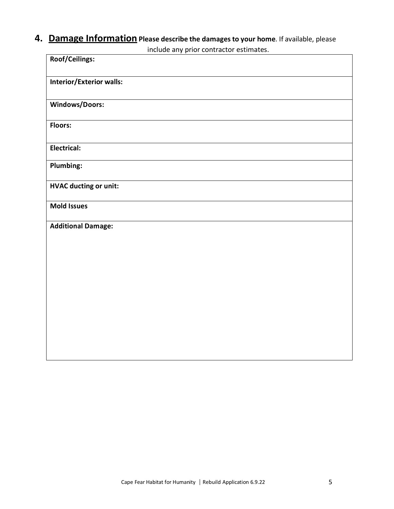# **4. Damage Information Please describe the damages to your home**. If available, please

include any prior contractor estimates.

| Roof/Ceilings:                  |
|---------------------------------|
| <b>Interior/Exterior walls:</b> |
| Windows/Doors:                  |
| Floors:                         |
| Electrical:                     |
| <b>Plumbing:</b>                |
| <b>HVAC ducting or unit:</b>    |
| <b>Mold Issues</b>              |
| <b>Additional Damage:</b>       |
|                                 |
|                                 |
|                                 |
|                                 |
|                                 |
|                                 |
|                                 |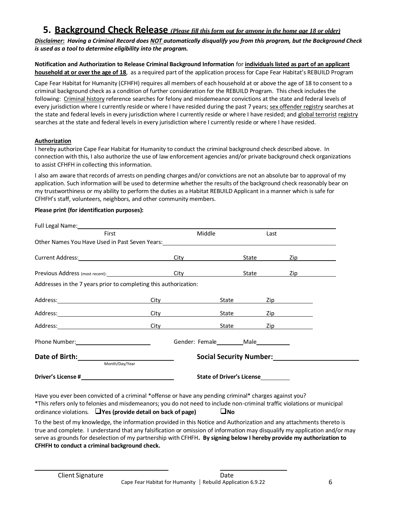# **5. Background Check Release** *(Please fill this form out for anyone in the home age 18 or older)*

*Disclaimer***:** *Having a Criminal Record does NOT automatically disqualify you from this program, but the Background Check is used as a tool to determine eligibility into the program.*

**Notification and Authorization to Release Criminal Background Information** for **individuals listed as part of an applicant household at or over the age of 18**, as a required part of the application process for Cape Fear Habitat's REBUILD Program

Cape Fear Habitat for Humanity (CFHFH) requires all members of each household at or above the age of 18 to consent to a criminal background check as a condition of further consideration for the REBUILD Program. This check includes the following: Criminal history reference searches for felony and misdemeanor convictions at the state and federal levels of every jurisdiction where I currently reside or where I have resided during the past 7 years; sex offender registry searches at the state and federal levels in every jurisdiction where I currently reside or where I have resided; and global terrorist registry searches at the state and federal levels in every jurisdiction where I currently reside or where I have resided.

#### **Authorization**

I hereby authorize Cape Fear Habitat for Humanity to conduct the criminal background check described above. In connection with this, I also authorize the use of law enforcement agencies and/or private background check organizations to assist CFHFH in collecting this information.

I also am aware that records of arrests on pending charges and/or convictions are not an absolute bar to approval of my application. Such information will be used to determine whether the results of the background check reasonably bear on my trustworthiness or my ability to perform the duties as a Habitat REBUILD Applicant in a manner which issafe for CFHFH's staff, volunteers, neighbors, and other community members.

### **Please print (for identification purposes):**

| Full Legal Name: The Contract of the Contract of the Contract of the Contract of the Contract of the Contract of the Contract of the Contract of the Contract of the Contract of the Contract of the Contract of the Contract |                                                                                                                 |                |                                           |                                                                                                                |  |
|-------------------------------------------------------------------------------------------------------------------------------------------------------------------------------------------------------------------------------|-----------------------------------------------------------------------------------------------------------------|----------------|-------------------------------------------|----------------------------------------------------------------------------------------------------------------|--|
| First                                                                                                                                                                                                                         | Middle                                                                                                          |                | Last                                      |                                                                                                                |  |
|                                                                                                                                                                                                                               |                                                                                                                 |                |                                           |                                                                                                                |  |
|                                                                                                                                                                                                                               |                                                                                                                 |                |                                           |                                                                                                                |  |
|                                                                                                                                                                                                                               | City in the control of the control of the control of the control of the control of the control of the control o |                | State                                     |                                                                                                                |  |
| Previous Address (most recent): City                                                                                                                                                                                          |                                                                                                                 |                | State                                     | Zip and the second state of the second state of the second state of the second state of the second state of th |  |
| Addresses in the 7 years prior to completing this authorization:                                                                                                                                                              |                                                                                                                 |                |                                           |                                                                                                                |  |
|                                                                                                                                                                                                                               | City                                                                                                            | State ________ |                                           | $\mathsf{Zip}$                                                                                                 |  |
|                                                                                                                                                                                                                               | City in the control of the control of the control of the control of the control of the control of the control o | Stat <u>e</u>  |                                           | <u>Zip</u>                                                                                                     |  |
| Address: City City                                                                                                                                                                                                            |                                                                                                                 |                | State <u>Zip</u>                          |                                                                                                                |  |
| Phone Number: 1999                                                                                                                                                                                                            |                                                                                                                 |                | Gender: Female___________Male____________ |                                                                                                                |  |
| Date of Birth: <u>_______________________</u>                                                                                                                                                                                 |                                                                                                                 |                | <b>Social Security Number:</b>            |                                                                                                                |  |
| Month/Day/Year                                                                                                                                                                                                                |                                                                                                                 |                |                                           |                                                                                                                |  |
|                                                                                                                                                                                                                               |                                                                                                                 |                | <b>State of Driver's License</b>          |                                                                                                                |  |

Have you ever been convicted of a criminal \*offense or have any pending criminal\* charges against you? \*This refers only to felonies and misdemeanors; you do not need to include non-criminal traffic violations or municipal ordinance violations. ❑**Yes (provide detail on back of page)** ❑**No**

To the best of my knowledge, the information provided in this Notice and Authorization and any attachments thereto is true and complete. I understand that any falsification or omission of information may disqualify my application and/or may serve as groundsfor deselection of my partnership with CFHFH**. By signing below I hereby provide my authorization to CFHFH to conduct a criminal background check.**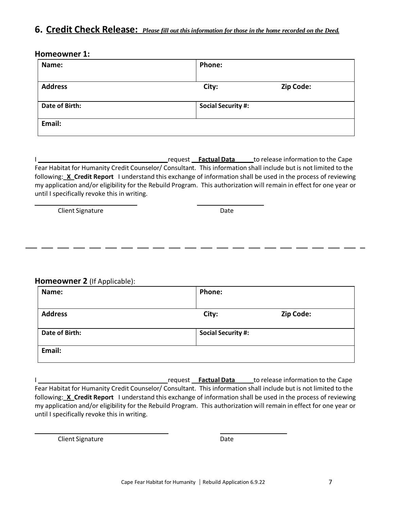# 6. Credit Check Release: Please fill out this information for those in the home recorded on the Deed.

### **Homeowner 1:**

| Name:          | Phone:                    |           |
|----------------|---------------------------|-----------|
|                |                           |           |
| <b>Address</b> | City:                     | Zip Code: |
|                |                           |           |
| Date of Birth: | <b>Social Security #:</b> |           |
|                |                           |           |
| Email:         |                           |           |
|                |                           |           |

I request **Factual Data** to release information to the Cape Fear Habitat for Humanity Credit Counselor/ Consultant. This information shall include but is not limited to the following:**\_X\_Credit Report** I understand this exchange of information shall be used in the process of reviewing my application and/or eligibility for the Rebuild Program. This authorization will remain in effect for one year or until I specifically revoke this in writing.

Client Signature Date

**Homeowner 2** (If Applicable):

| Name:          | <b>Phone:</b>             |           |
|----------------|---------------------------|-----------|
| <b>Address</b> | City:                     | Zip Code: |
| Date of Birth: | <b>Social Security #:</b> |           |
| Email:         |                           |           |

**I request Factual Data Let** be release information to the Cape Fear Habitat for Humanity Credit Counselor/ Consultant. This information shall include but is not limited to the following:**\_X\_Credit Report** I understand this exchange of information shall be used in the process of reviewing my application and/or eligibility for the Rebuild Program. This authorization will remain in effect for one year or until I specifically revoke this in writing.

Client Signature Date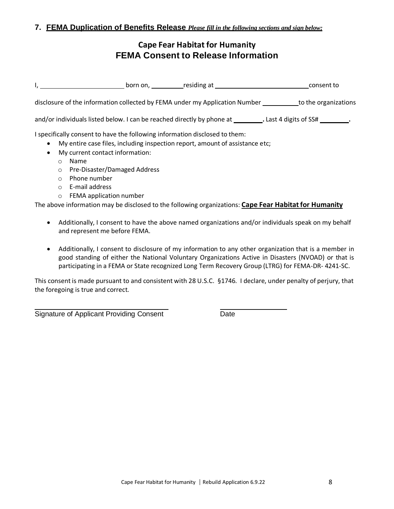# **Cape Fear Habitat for Humanity FEMA Consent to Release Information**

|                                                                               | $\mathsf{I}_{\mathsf{r}}$                                                                                                                   |                                                                                                                                                             | born on, residing at residing to response to response to                                                            |
|-------------------------------------------------------------------------------|---------------------------------------------------------------------------------------------------------------------------------------------|-------------------------------------------------------------------------------------------------------------------------------------------------------------|---------------------------------------------------------------------------------------------------------------------|
|                                                                               |                                                                                                                                             |                                                                                                                                                             | disclosure of the information collected by FEMA under my Application Number ___________to the organizations         |
|                                                                               |                                                                                                                                             |                                                                                                                                                             | and/or individuals listed below. I can be reached directly by phone at ___________. Last 4 digits of SS# _________. |
| $\bullet$<br>$\bullet$<br>$\circ$<br>$\circ$<br>$\circ$<br>$\circ$<br>$\circ$ | My current contact information:<br><b>Name</b><br>Pre-Disaster/Damaged Address<br>Phone number<br>E-mail address<br>FEMA application number | I specifically consent to have the following information disclosed to them:<br>My entire case files, including inspection report, amount of assistance etc; |                                                                                                                     |
|                                                                               |                                                                                                                                             |                                                                                                                                                             | The above information may be disclosed to the following organizations: Cape Fear Habitat for Humanity               |

- Additionally, I consent to have the above named organizations and/or individuals speak on my behalf and represent me before FEMA.
- Additionally, I consent to disclosure of my information to any other organization that is a member in good standing of either the National Voluntary Organizations Active in Disasters (NVOAD) or that is participating in a FEMA or State recognized Long Term Recovery Group (LTRG) for FEMA-DR- 4241-SC.

This consent is made pursuant to and consistent with 28 U.S.C. §1746. I declare, under penalty of perjury, that the foregoing is true and correct.

Signature of Applicant Providing Consent Date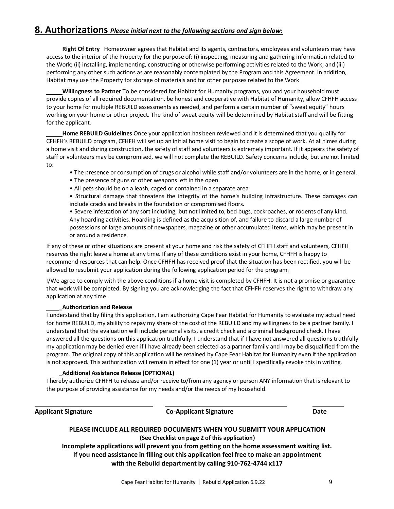### **8. Authorizations** *Please initial next to the following sections and sign below:*

**Right Of Entry** Homeowner agrees that Habitat and its agents, contractors, employees and volunteers may have access to the interior of the Property for the purpose of: (i) inspecting, measuring and gathering information related to the Work; (ii) installing, implementing, constructing or otherwise performing activities related to the Work; and (iii) performing any other such actions as are reasonably contemplated by the Program and this Agreement. In addition, Habitat may use the Property for storage of materials and for other purposesrelated to the Work

**Willingness to Partner** To be considered for Habitat for Humanity programs, you and your household must provide copies of all required documentation, be honest and cooperative with Habitat of Humanity, allow CFHFH access to your home for multiple REBUILD assessments as needed, and perform a certain number of "sweat equity" hours working on your home or other project. The kind of sweat equity will be determined by Habitat staff and will be fitting for the applicant.

**Home REBUILD Guidelines** Once your application has been reviewed and it is determined that you qualify for CFHFH's REBUILD program, CFHFH will set up an initial home visit to begin to create a scope of work. At all times during a home visit and during construction, the safety of staff and volunteers is extremely important. If it appears the safety of staff or volunteers may be compromised, we will not complete the REBUILD. Safety concerns include, but are not limited to:

- The presence or consumption of drugs or alcohol while staff and/or volunteers are in the home, or in general.
- The presence of guns or other weapons left in the open.
- All pets should be on a leash, caged or contained in a separate area.

• Structural damage that threatens the integrity of the home's building infrastructure. These damages can include cracks and breaks in the foundation or compromised floors.

• Severe infestation of any sort including, but not limited to, bed bugs, cockroaches, or rodents of any kind. Any hoarding activities. Hoarding is defined asthe acquisition of, and failure to discard a large number of possessions or large amounts of newspapers, magazine or other accumulated items, which may be present in or around a residence.

If any of these or other situations are present at your home and risk the safety of CFHFH staff and volunteers, CFHFH reserves the right leave a home at any time. If any of these conditions exist in your home, CFHFH is happy to recommend resources that can help. Once CFHFH has received proof that the situation has been rectified, you will be allowed to resubmit your application during the following application period for the program.

I/We agree to comply with the above conditions if a home visit is completed by CFHFH. It is not a promise or guarantee that work will be completed. By signing you are acknowledging the fact that CFHFH reserves the right to withdraw any application at any time.

#### **\_Authorization and Release**

I understand that by filing this application, I am authorizing Cape Fear Habitat for Humanity to evaluate my actual need for home REBUILD, my ability to repay my share of the cost of the REBUILD and my willingness to be a partner family. I understand that the evaluation will include personal visits, a credit check and a criminal background check. I have answered all the questions on this application truthfully. I understand that if I have not answered all questions truthfully my application may be denied even if I have already been selected as a partner family and I may be disqualified from the program. The original copy of this application will be retained by Cape Fear Habitat for Humanity even if the application is not approved. This authorization will remain in effect for one (1) year or until I specifically revoke this in writing.

#### **\_Additional Assistance Release (OPTIONAL)**

I hereby authorize CFHFH to release and/or receive to/from any agency or person ANY information that isrelevant to the purpose of providing assistance for my needs and/or the needs of my household.

**Applicant Signature Co-Applicant Signature Date**

# **PLEASE INCLUDE ALL REQUIRED DOCUMENTS WHEN YOU SUBMITT YOUR APPLICATION (See Checklist on page 2 of this application)**

**Incomplete applications will prevent you from getting on the home assessment waiting list. If you need assistance in filling out this application feel free to make an appointment with the Rebuild department by calling 910-762-4744 x117**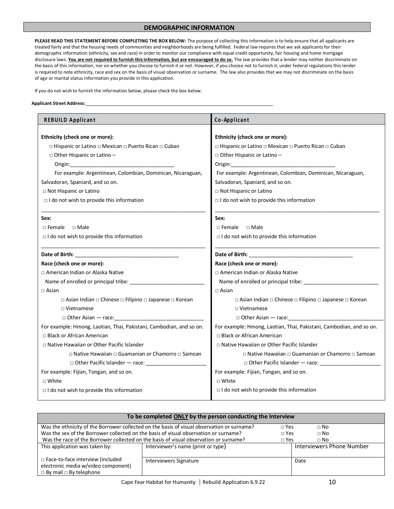#### **DEMOGRAPHIC INFORMATION**

**PLEASE READ THIS STATEMENT BEFORE COMPLETING THE BOX BELOW:** The purpose of collecting this information is to help ensure that all applicants are treated fairly and that the housing needs of communities and neighborhoods are being fulfilled. Federal law requires that we ask applicants for their demographic information (ethnicity, sex and race) in order to monitor our compliance with equal credit opportunity, fair housing and home mortgage disclosure laws. You are not required to furnish this information, but are encouraged to do so. The law provides that a lender may neither discriminate on the basis of this information, nor on whether you choose to furnish it or not. However, if you choose not to furnish it, under federal regulations this lender is required to note ethnicity, race and sex on the basis of visual observation or surname. The law also provides that we may not discriminate on the basis of age or marital status information you provide in this application.

If you do not wish to furnish the information below, please check the box below.

#### **Applicant Street Address:**

| <b>REBUILD Applicant</b>                                            | Co-Applicant                                                        |  |  |
|---------------------------------------------------------------------|---------------------------------------------------------------------|--|--|
|                                                                     |                                                                     |  |  |
| Ethnicity (check one or more):                                      | Ethnicity (check one or more):                                      |  |  |
| □ Hispanic or Latino □ Mexican □ Puerto Rican □ Cuban               | □ Hispanic or Latino □ Mexican □ Puerto Rican □ Cuban               |  |  |
| □ Other Hispanic or Latino -                                        | □ Other Hispanic or Latino -                                        |  |  |
| Origin:                                                             | Origin:                                                             |  |  |
| For example: Argentinean, Colombian, Dominican, Nicaraguan,         | For example: Argentinean, Colombian, Dominican, Nicaraguan,         |  |  |
| Salvadoran, Spaniard, and so on.                                    | Salvadoran, Spaniard, and so on.                                    |  |  |
| □ Not Hispanic or Latino                                            | □ Not Hispanic or Latino                                            |  |  |
| $\Box$ I do not wish to provide this information                    | $\Box$ I do not wish to provide this information                    |  |  |
| Sex:                                                                | Sex:                                                                |  |  |
| $\Box$ Female<br>$\Box$ Male                                        | $\Box$ Female $\Box$ Male                                           |  |  |
| I do not wish to provide this information                           | I do not wish to provide this information                           |  |  |
| Date of Birth: The Contract of Birth: The Contract of Birth:        | Date of Birth: The Contract of Birth: The Contract of Birth:        |  |  |
| Race (check one or more):                                           | Race (check one or more):                                           |  |  |
| □ American Indian or Alaska Native                                  | □ American Indian or Alaska Native                                  |  |  |
|                                                                     | Name of enrolled or principal tribe: _________________              |  |  |
| $\Box$ Asian                                                        | $\Box$ Asian                                                        |  |  |
| □ Asian Indian □ Chinese □ Filipino □ Japanese □ Korean             | □ Asian Indian □ Chinese □ Filipino □ Japanese □ Korean             |  |  |
| $\Box$ Vietnamese                                                   | $\Box$ Vietnamese                                                   |  |  |
| $\Box$ Other Asian $-$ race:                                        | $\Box$ Other Asian $-$ race:                                        |  |  |
| For example: Hmong, Laotian, Thai, Pakistani, Cambodian, and so on. | For example: Hmong, Laotian, Thai, Pakistani, Cambodian, and so on. |  |  |
| $\Box$ Black or African American                                    | $\Box$ Black or African American                                    |  |  |
| □ Native Hawaiian or Other Pacific Islander                         | □ Native Hawaiian or Other Pacific Islander                         |  |  |
| □ Native Hawaiian □ Guamanian or Chamorro □ Samoan                  | □ Native Hawaiian □ Guamanian or Chamorro □ Samoan                  |  |  |
| □ Other Pacific Islander – race: ______________                     | □ Other Pacific Islander – race: ______________                     |  |  |
| For example: Fijian, Tongan, and so on.                             | For example: Fijian, Tongan, and so on.                             |  |  |
| $\Box$ White                                                        | $\Box$ White                                                        |  |  |
| $\Box$ I do not wish to provide this information                    | $\Box$ I do not wish to provide this information                    |  |  |

| To be completed ONLY by the person conducting the Interview                                                          |                                    |              |                           |
|----------------------------------------------------------------------------------------------------------------------|------------------------------------|--------------|---------------------------|
| Was the ethnicity of the Borrower collected on the basis of visual observation or surname?                           |                                    | $\sqcap$ Yes | $\sqcap$ No               |
| Was the sex of the Borrower collected on the basis of visual observation or surname?                                 |                                    | $\sqcap$ Yes | $\Box$ No                 |
| Was the race of the Borrower collected on the basis of visual observation or surname?                                |                                    | $\sqcap$ Yes | $\sqcap$ No               |
| This application was taken by:                                                                                       | Interviewer's name (print or type) |              | Interviewers Phone Number |
| $\Box$ Face-to-face interview (included<br>electronic media w/video component)<br>$\Box$ By mail $\Box$ By telephone | Interviewers Signature             |              | Date                      |